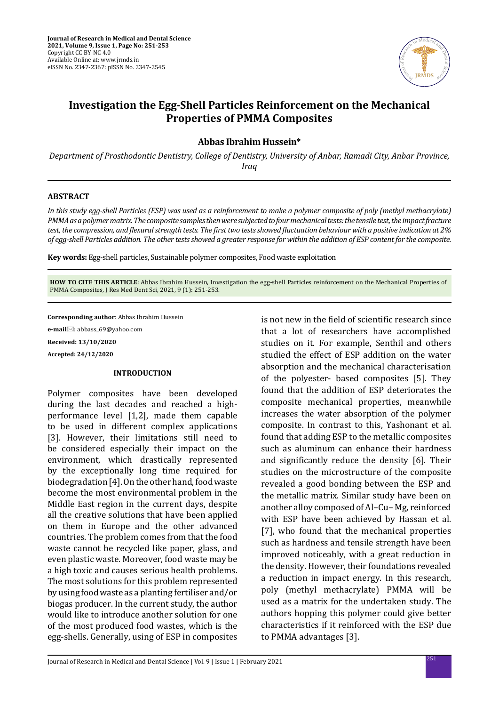

# **Investigation the Egg-Shell Particles Reinforcement on the Mechanical Properties of PMMA Composites**

# **Abbas Ibrahim Hussein\***

*Department of Prosthodontic Dentistry, College of Dentistry, University of Anbar, Ramadi City, Anbar Province, Iraq*

## **ABSTRACT**

*In this study egg-shell Particles (ESP) was used as a reinforcement to make a polymer composite of poly (methyl methacrylate) PMMA as a polymer matrix. The composite samples then were subjected to four mechanical tests: the tensile test, the impact fracture test, the compression, and flexural strength tests. The first two tests showed fluctuation behaviour with a positive indication at 2% of egg-shell Particles addition. The other tests showed a greater response for within the addition of ESP content for the composite.*

**Key words:** Egg-shell particles, Sustainable polymer composites, Food waste exploitation

**HOW TO CITE THIS ARTICLE**: Abbas Ibrahim Hussein, Investigation the egg-shell Particles reinforcement on the Mechanical Properties of PMMA Composites, J Res Med Dent Sci, 2021, 9 (1): 251-253.

**Corresponding author**: Abbas Ibrahim Hussein

**e-mail**⊠: abbass 69@yahoo.com **Received: 13/10/2020 Accepted: 24/12/2020**

## **INTRODUCTION**

Polymer composites have been developed during the last decades and reached a highperformance level [1,2], made them capable to be used in different complex applications [3]. However, their limitations still need to be considered especially their impact on the environment, which drastically represented by the exceptionally long time required for biodegradation [4]. On the other hand, food waste become the most environmental problem in the Middle East region in the current days, despite all the creative solutions that have been applied on them in Europe and the other advanced countries. The problem comes from that the food waste cannot be recycled like paper, glass, and even plastic waste. Moreover, food waste may be a high toxic and causes serious health problems. The most solutions for this problem represented by using food waste as a planting fertiliser and/or biogas producer. In the current study, the author would like to introduce another solution for one of the most produced food wastes, which is the egg-shells. Generally, using of ESP in composites is not new in the field of scientific research since that a lot of researchers have accomplished studies on it. For example, Senthil and others studied the effect of ESP addition on the water absorption and the mechanical characterisation of the polyester- based composites [5]. They found that the addition of ESP deteriorates the composite mechanical properties, meanwhile increases the water absorption of the polymer composite. In contrast to this, Yashonant et al. found that adding ESP to the metallic composites such as aluminum can enhance their hardness and significantly reduce the density [6]. Their studies on the microstructure of the composite revealed a good bonding between the ESP and the metallic matrix. Similar study have been on another alloy composed of Al–Cu– Mg, reinforced with ESP have been achieved by Hassan et al. [7], who found that the mechanical properties such as hardness and tensile strength have been improved noticeably, with a great reduction in the density. However, their foundations revealed a reduction in impact energy. In this research, poly (methyl methacrylate) PMMA will be used as a matrix for the undertaken study. The authors hopping this polymer could give better characteristics if it reinforced with the ESP due to PMMA advantages [3].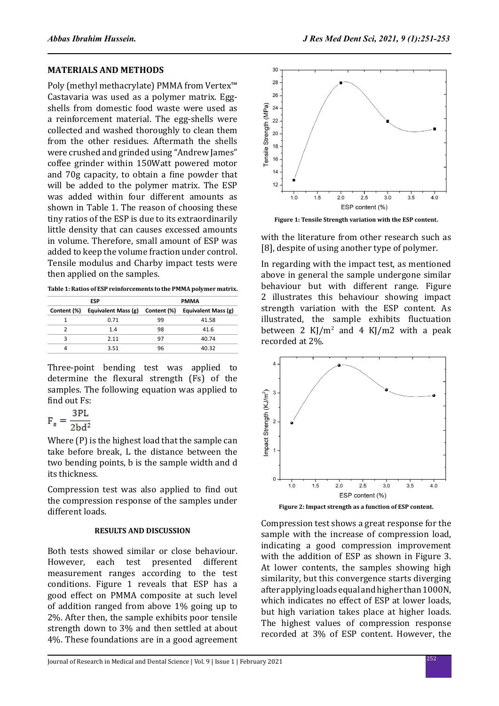#### **MATERIALS AND METHODS**

Poly (methyl methacrylate) PMMA from Vertex™ Castavaria was used as a polymer matrix. Eggshells from domestic food waste were used as a reinforcement material. The egg-shells were collected and washed thoroughly to clean them from the other residues. Aftermath the shells were crushed and grinded using "Andrew James" coffee grinder within 150Watt powered motor and 70g capacity, to obtain a fine powder that will be added to the polymer matrix. The ESP was added within four different amounts as shown in Table 1. The reason of choosing these tiny ratios of the ESP is due to its extraordinarily little density that can causes excessed amounts in volume. Therefore, small amount of ESP was added to keep the volume fraction under control. Tensile modulus and Charby impact tests were then applied on the samples.

**Table 1: Ratios of ESP reinforcements to the PMMA polymer matrix.**

| <b>ESP</b>  |                     | <b>PMMA</b> |                     |
|-------------|---------------------|-------------|---------------------|
| Content (%) | Equivalent Mass (g) | Content (%) | Equivalent Mass (g) |
|             | 0.71                | 99          | 41.58               |
|             | 1.4                 | 98          | 41.6                |
| ς           | 2.11                | 97          | 40.74               |
| 4           | 3.51                | 96          | 40.32               |

Three-point bending test was applied to determine the flexural strength (Fs) of the samples. The following equation was applied to find out Fs:

$$
F_{\rm s} = \frac{3PL}{2bd^2}
$$

Where (P) is the highest load that the sample can take before break, L the distance between the two bending points, b is the sample width and d its thickness.

Compression test was also applied to find out the compression response of the samples under different loads.

# **RESULTS AND DISCUSSION**

Both tests showed similar or close behaviour. However, each test presented different measurement ranges according to the test conditions. Figure 1 reveals that ESP has a good effect on PMMA composite at such level of addition ranged from above 1% going up to 2%. After then, the sample exhibits poor tensile strength down to 3% and then settled at about 4%. These foundations are in a good agreement



**Figure 1: Tensile Strength variation with the ESP content.**

with the literature from other research such as [8], despite of using another type of polymer.

In regarding with the impact test, as mentioned above in general the sample undergone similar behaviour but with different range. Figure 2 illustrates this behaviour showing impact strength variation with the ESP content. As illustrated, the sample exhibits fluctuation between 2 KJ/m<sup>2</sup> and 4 KJ/m2 with a peak recorded at 2%.



Compression test shows a great response for the sample with the increase of compression load, indicating a good compression improvement with the addition of ESP as shown in Figure 3. At lower contents, the samples showing high similarity, but this convergence starts diverging after applying loads equal and higher than 1000N, which indicates no effect of ESP at lower loads, but high variation takes place at higher loads. The highest values of compression response recorded at 3% of ESP content. However, the